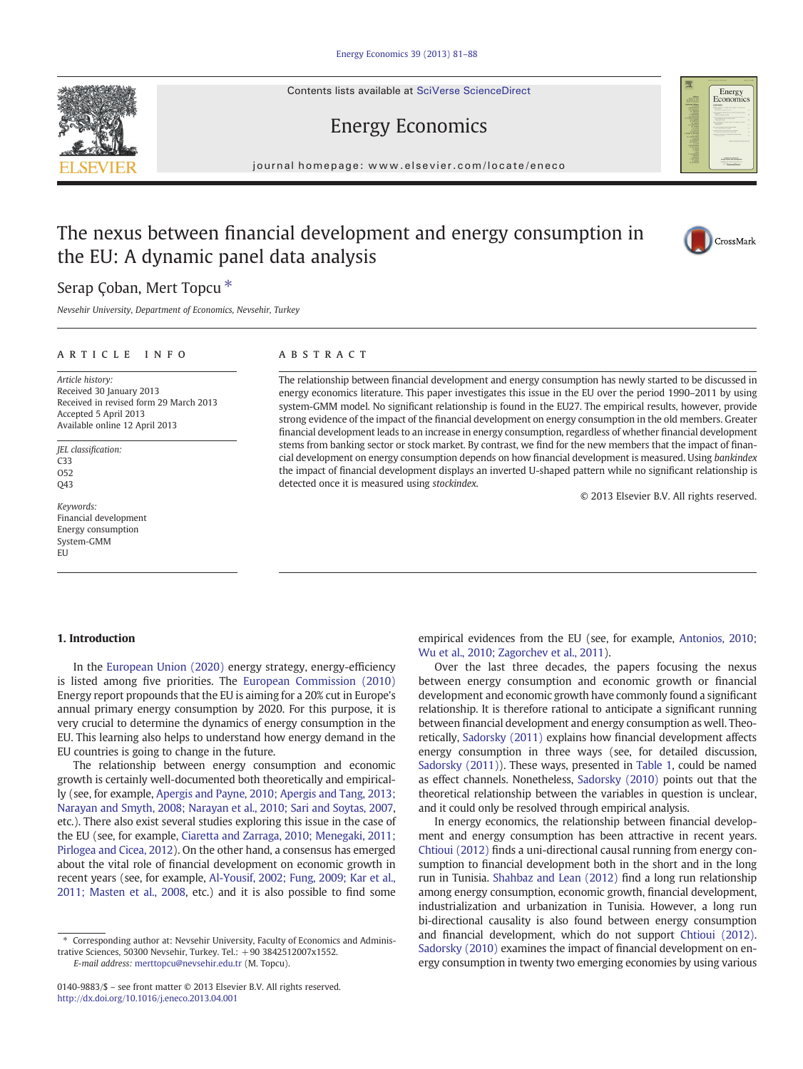Contents lists available at SciVerse ScienceDirect

## Energy Economics

journal homepage: www.elsevier.com/locate/eneco

## The nexus between financial development and energy consumption in the EU: A dynamic panel data analysis



Energy<br>Economics

### Serap Çoban, Mert Topcu<sup>\*</sup>

Nevsehir University, Department of Economics, Nevsehir, Turkey

### article info abstract

Article history: Received 30 January 2013 Received in revised form 29 March 2013 Accepted 5 April 2013 Available online 12 April 2013

JEL classification: C33 O52 Q43

Keywords: Financial development Energy consumption System-GMM EU

The relationship between financial development and energy consumption has newly started to be discussed in energy economics literature. This paper investigates this issue in the EU over the period 1990–2011 by using system-GMM model. No significant relationship is found in the EU27. The empirical results, however, provide strong evidence of the impact of the financial development on energy consumption in the old members. Greater financial development leads to an increase in energy consumption, regardless of whether financial development stems from banking sector or stock market. By contrast, we find for the new members that the impact of financial development on energy consumption depends on how financial development is measured. Using bankindex the impact of financial development displays an inverted U-shaped pattern while no significant relationship is detected once it is measured using stockindex.

© 2013 Elsevier B.V. All rights reserved.

### 1. Introduction

In the [European Union \(2020\)](#page--1-0) energy strategy, energy-efficiency is listed among five priorities. The [European Commission \(2010\)](#page--1-0) Energy report propounds that the EU is aiming for a 20% cut in Europe's annual primary energy consumption by 2020. For this purpose, it is very crucial to determine the dynamics of energy consumption in the EU. This learning also helps to understand how energy demand in the EU countries is going to change in the future.

The relationship between energy consumption and economic growth is certainly well-documented both theoretically and empirically (see, for example, [Apergis and Payne, 2010; Apergis and Tang, 2013;](#page--1-0) [Narayan and Smyth, 2008; Narayan et al., 2010; Sari and Soytas, 2007,](#page--1-0) etc.). There also exist several studies exploring this issue in the case of the EU (see, for example, [Ciaretta and Zarraga, 2010; Menegaki, 2011;](#page--1-0) [Pirlogea and Cicea, 2012](#page--1-0)). On the other hand, a consensus has emerged about the vital role of financial development on economic growth in recent years (see, for example, [Al-Yousif, 2002; Fung, 2009; Kar et al.,](#page--1-0) [2011; Masten et al., 2008,](#page--1-0) etc.) and it is also possible to find some

E-mail address: [merttopcu@nevsehir.edu.tr](mailto:merttopcu@nevsehir.edu.tr) (M. Topcu).

empirical evidences from the EU (see, for example, [Antonios, 2010;](#page--1-0) [Wu et al., 2010; Zagorchev et al., 2011](#page--1-0)).

Over the last three decades, the papers focusing the nexus between energy consumption and economic growth or financial development and economic growth have commonly found a significant relationship. It is therefore rational to anticipate a significant running between financial development and energy consumption as well. Theoretically, [Sadorsky \(2011\)](#page--1-0) explains how financial development affects energy consumption in three ways (see, for detailed discussion, [Sadorsky \(2011\)](#page--1-0)). These ways, presented in [Table 1,](#page-1-0) could be named as effect channels. Nonetheless, [Sadorsky \(2010\)](#page--1-0) points out that the theoretical relationship between the variables in question is unclear, and it could only be resolved through empirical analysis.

In energy economics, the relationship between financial development and energy consumption has been attractive in recent years. [Chtioui \(2012\)](#page--1-0) finds a uni-directional causal running from energy consumption to financial development both in the short and in the long run in Tunisia. [Shahbaz and Lean \(2012\)](#page--1-0) find a long run relationship among energy consumption, economic growth, financial development, industrialization and urbanization in Tunisia. However, a long run bi-directional causality is also found between energy consumption and financial development, which do not support [Chtioui \(2012\).](#page--1-0) [Sadorsky \(2010\)](#page--1-0) examines the impact of financial development on energy consumption in twenty two emerging economies by using various



<sup>⁎</sup> Corresponding author at: Nevsehir University, Faculty of Economics and Administrative Sciences, 50300 Nevsehir, Turkey. Tel.: +90 3842512007x1552.

<sup>0140-9883/\$</sup> – see front matter © 2013 Elsevier B.V. All rights reserved. <http://dx.doi.org/10.1016/j.eneco.2013.04.001>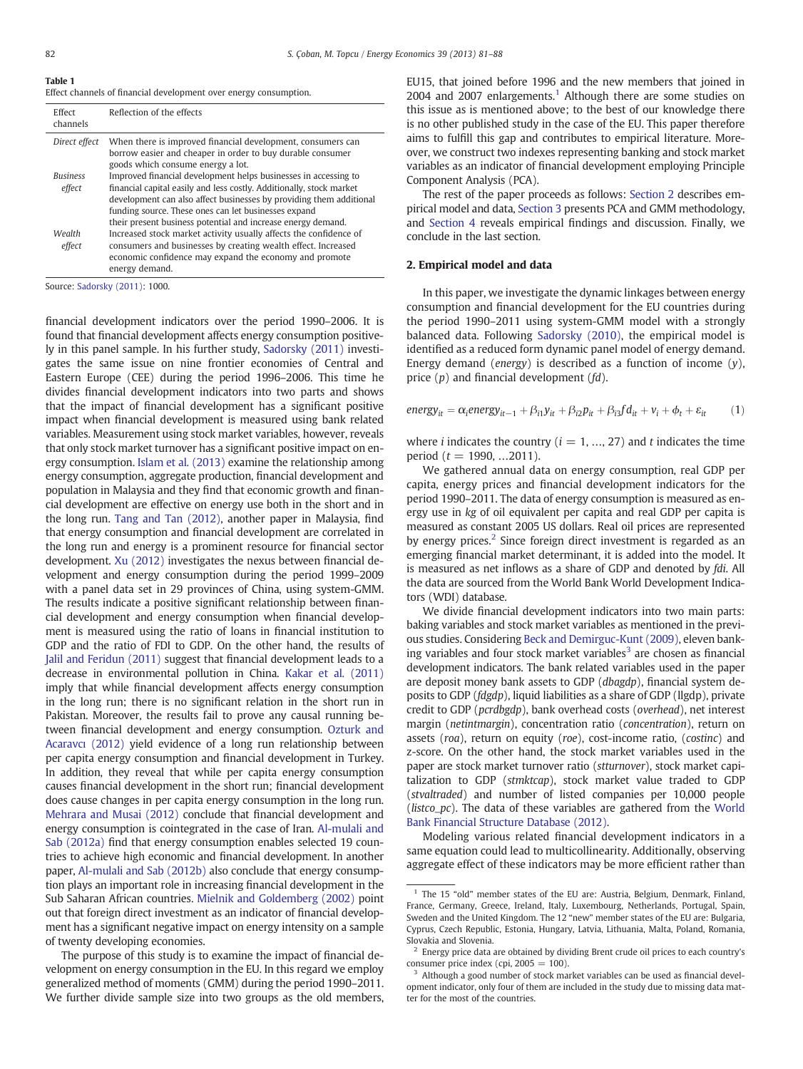### <span id="page-1-0"></span>Table 1

Effect channels of financial development over energy consumption.

| Effect<br>channels                      | Reflection of the effects                                                                                                                                                                                                                                                                                                              |
|-----------------------------------------|----------------------------------------------------------------------------------------------------------------------------------------------------------------------------------------------------------------------------------------------------------------------------------------------------------------------------------------|
| Direct effect                           | When there is improved financial development, consumers can<br>borrow easier and cheaper in order to buy durable consumer<br>goods which consume energy a lot.                                                                                                                                                                         |
| <b><i><u>Business</u></i></b><br>effect | Improved financial development helps businesses in accessing to<br>financial capital easily and less costly. Additionally, stock market<br>development can also affect businesses by providing them additional<br>funding source. These ones can let businesses expand<br>their present business potential and increase energy demand. |
| Wealth<br>effect                        | Increased stock market activity usually affects the confidence of<br>consumers and businesses by creating wealth effect. Increased<br>economic confidence may expand the economy and promote<br>energy demand.                                                                                                                         |

Source: [Sadorsky \(2011\):](#page--1-0) 1000.

financial development indicators over the period 1990–2006. It is found that financial development affects energy consumption positively in this panel sample. In his further study, [Sadorsky \(2011\)](#page--1-0) investigates the same issue on nine frontier economies of Central and Eastern Europe (CEE) during the period 1996–2006. This time he divides financial development indicators into two parts and shows that the impact of financial development has a significant positive impact when financial development is measured using bank related variables. Measurement using stock market variables, however, reveals that only stock market turnover has a significant positive impact on energy consumption. [Islam et al. \(2013\)](#page--1-0) examine the relationship among energy consumption, aggregate production, financial development and population in Malaysia and they find that economic growth and financial development are effective on energy use both in the short and in the long run. [Tang and Tan \(2012\),](#page--1-0) another paper in Malaysia, find that energy consumption and financial development are correlated in the long run and energy is a prominent resource for financial sector development. [Xu \(2012\)](#page--1-0) investigates the nexus between financial development and energy consumption during the period 1999–2009 with a panel data set in 29 provinces of China, using system-GMM. The results indicate a positive significant relationship between financial development and energy consumption when financial development is measured using the ratio of loans in financial institution to GDP and the ratio of FDI to GDP. On the other hand, the results of [Jalil and Feridun \(2011\)](#page--1-0) suggest that financial development leads to a decrease in environmental pollution in China. [Kakar et al. \(2011\)](#page--1-0) imply that while financial development affects energy consumption in the long run; there is no significant relation in the short run in Pakistan. Moreover, the results fail to prove any causal running between financial development and energy consumption. [Ozturk and](#page--1-0) [Acaravc](#page--1-0)ı (2012) yield evidence of a long run relationship between per capita energy consumption and financial development in Turkey. In addition, they reveal that while per capita energy consumption causes financial development in the short run; financial development does cause changes in per capita energy consumption in the long run. [Mehrara and Musai \(2012\)](#page--1-0) conclude that financial development and energy consumption is cointegrated in the case of Iran. [Al-mulali and](#page--1-0) [Sab \(2012a\)](#page--1-0) find that energy consumption enables selected 19 countries to achieve high economic and financial development. In another paper, [Al-mulali and Sab \(2012b\)](#page--1-0) also conclude that energy consumption plays an important role in increasing financial development in the Sub Saharan African countries. [Mielnik and Goldemberg \(2002\)](#page--1-0) point out that foreign direct investment as an indicator of financial development has a significant negative impact on energy intensity on a sample of twenty developing economies.

The purpose of this study is to examine the impact of financial development on energy consumption in the EU. In this regard we employ generalized method of moments (GMM) during the period 1990–2011. We further divide sample size into two groups as the old members, EU15, that joined before 1996 and the new members that joined in 2004 and 2007 enlargements.<sup>1</sup> Although there are some studies on this issue as is mentioned above; to the best of our knowledge there is no other published study in the case of the EU. This paper therefore aims to fulfill this gap and contributes to empirical literature. Moreover, we construct two indexes representing banking and stock market variables as an indicator of financial development employing Principle Component Analysis (PCA).

The rest of the paper proceeds as follows: Section 2 describes empirical model and data, [Section 3](#page--1-0) presents PCA and GMM methodology, and [Section 4](#page--1-0) reveals empirical findings and discussion. Finally, we conclude in the last section.

### 2. Empirical model and data

In this paper, we investigate the dynamic linkages between energy consumption and financial development for the EU countries during the period 1990–2011 using system-GMM model with a strongly balanced data. Following [Sadorsky \(2010\),](#page--1-0) the empirical model is identified as a reduced form dynamic panel model of energy demand. Energy demand (*energy*) is described as a function of income  $(y)$ , price  $(p)$  and financial development  $(fd)$ .

$$
energy_{it} = \alpha_i energy_{it-1} + \beta_{i1}y_{it} + \beta_{i2}p_{it} + \beta_{i3}fd_{it} + v_i + \phi_t + \varepsilon_{it}
$$
 (1)

where *i* indicates the country ( $i = 1, ..., 27$ ) and *t* indicates the time period ( $t = 1990, ...2011$ ).

We gathered annual data on energy consumption, real GDP per capita, energy prices and financial development indicators for the period 1990–2011. The data of energy consumption is measured as energy use in kg of oil equivalent per capita and real GDP per capita is measured as constant 2005 US dollars. Real oil prices are represented by energy prices.<sup>2</sup> Since foreign direct investment is regarded as an emerging financial market determinant, it is added into the model. It is measured as net inflows as a share of GDP and denoted by *fdi*. All the data are sourced from the World Bank World Development Indicators (WDI) database.

We divide financial development indicators into two main parts: baking variables and stock market variables as mentioned in the previous studies. Considering [Beck and Demirguc-Kunt \(2009\)](#page--1-0), eleven banking variables and four stock market variables $3$  are chosen as financial development indicators. The bank related variables used in the paper are deposit money bank assets to GDP (dbagdp), financial system deposits to GDP (fdgdp), liquid liabilities as a share of GDP (llgdp), private credit to GDP (pcrdbgdp), bank overhead costs (overhead), net interest margin (netintmargin), concentration ratio (concentration), return on assets (roa), return on equity (roe), cost-income ratio, (costinc) and z-score. On the other hand, the stock market variables used in the paper are stock market turnover ratio (stturnover), stock market capitalization to GDP (stmktcap), stock market value traded to GDP (stvaltraded) and number of listed companies per 10,000 people (*listco\_pc*). The data of these variables are gathered from the [World](#page--1-0) [Bank Financial Structure Database \(2012\)](#page--1-0).

Modeling various related financial development indicators in a same equation could lead to multicollinearity. Additionally, observing aggregate effect of these indicators may be more efficient rather than

 $1$  The 15 "old" member states of the EU are: Austria, Belgium, Denmark, Finland, France, Germany, Greece, Ireland, Italy, Luxembourg, Netherlands, Portugal, Spain, Sweden and the United Kingdom. The 12 "new" member states of the EU are: Bulgaria, Cyprus, Czech Republic, Estonia, Hungary, Latvia, Lithuania, Malta, Poland, Romania, Slovakia and Slovenia.

 $2\degree$  Energy price data are obtained by dividing Brent crude oil prices to each country's consumer price index (cpi,  $2005 = 100$ ).

<sup>&</sup>lt;sup>3</sup> Although a good number of stock market variables can be used as financial development indicator, only four of them are included in the study due to missing data matter for the most of the countries.